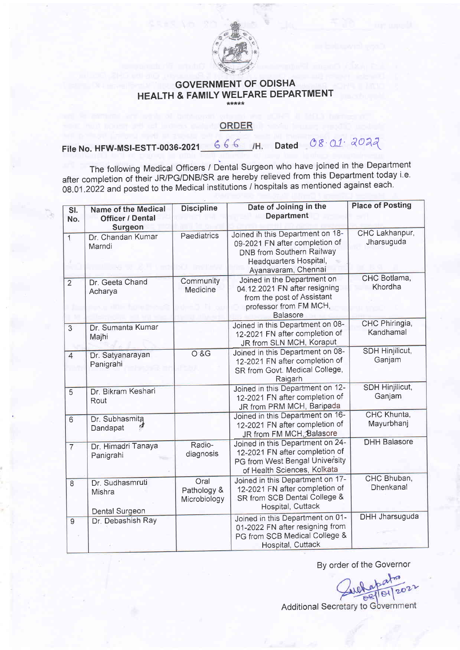

## GOVERNMENT OF ODISHA HEALTH & FAMILY WELFARE DEPARTMENT

## ORDER

File No. HFW-MSI-ESTT-0036-2021  $666$  /H. Dated  $08.01.2022$ 

The following Medical Officers / Dental Surgeon who have joined in the Department after completion of their JR/PG/DNB/SR are hereby relieved from this Department today i.e. 0g.01.2022 and posted to the Medical institutions / hospitals as mentioned against each'

| SI.<br>No.     | <b>Name of the Medical</b><br><b>Officer / Dental</b><br>Surgeon | <b>Discipline</b>                   | Date of Joining in the<br><b>Department</b>                                                                                                             | <b>Place of Posting</b>          |
|----------------|------------------------------------------------------------------|-------------------------------------|---------------------------------------------------------------------------------------------------------------------------------------------------------|----------------------------------|
| $\overline{1}$ | Dr. Chandan Kumar<br>Marndi                                      | Paediatrics                         | Joined in this Department on 18-<br>09-2021 FN after completion of<br><b>DNB from Southern Railway</b><br>Headquarters Hospital,<br>Ayanavaram, Chennai | CHC Lakhanpur,<br>Jharsuguda     |
| $\overline{2}$ | Dr. Geeta Chand<br>Acharya                                       | Community<br>Medicine               | Joined in the Department on<br>04.12.2021 FN after resigning<br>from the post of Assistant<br>professor from FM MCH,<br><b>Balasore</b>                 | CHC Botlama,<br>Khordha          |
| $\overline{3}$ | Dr. Sumanta Kumar<br>Majhi                                       |                                     | Joined in this Department on 08-<br>12-2021 FN after completion of<br>JR from SLN MCH, Koraput                                                          | CHC Phiringia,<br>Kandhamal      |
| $\overline{4}$ | Dr. Satyanarayan<br>Panigrahi                                    | O & G                               | Joined in this Department on 08-<br>12-2021 FN after completion of<br>SR from Govt. Medical College,<br>Raigarh                                         | <b>SDH Hinjilicut,</b><br>Ganjam |
| $\overline{5}$ | Dr. Bikram Keshari<br>Rout                                       |                                     | Joined in this Department on 12-<br>12-2021 FN after completion of<br>JR from PRM MCH, Baripada                                                         | <b>SDH Hinjilicut,</b><br>Ganjam |
| 6              | Dr. Subhasmita<br>eJ<br>Dandapat                                 |                                     | Joined in this Department on 16-<br>12-2021 FN after completion of<br>JR from FM MCH Balasore                                                           | CHC Khunta,<br>Mayurbhanj        |
| $\overline{7}$ | Dr. Himadri Tanaya<br>Panigrahi                                  | Radio-<br>diagnosis                 | Joined in this Department on 24-<br>12-2021 FN after completion of<br>PG from West Bengal University<br>of Health Sciences, Kolkata                     | <b>DHH Balasore</b>              |
| 8              | Dr. Sudhasmruti<br>Mishra<br><b>Dental Surgeon</b>               | Oral<br>Pathology &<br>Microbiology | Joined in this Department on 17-<br>12-2021 FN after completion of<br>SR from SCB Dental College &<br>Hospital, Cuttack                                 | CHC Bhuban,<br>Dhenkanal         |
| $\overline{9}$ | Dr. Debashish Ray                                                |                                     | Joined in this Department on 01-<br>01-2022 FN after resigning from<br>PG from SCB Medical College &<br>Hospital, Cuttack                               | <b>DHH Jharsuguda</b>            |

By order of the Governor

Additional Secretary to Government